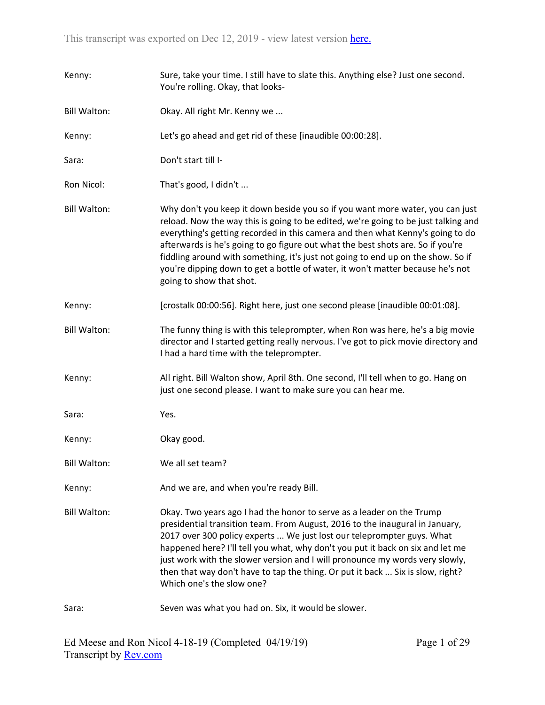| Kenny:              | Sure, take your time. I still have to slate this. Anything else? Just one second.<br>You're rolling. Okay, that looks-                                                                                                                                                                                                                                                                                                                                                                                                                     |
|---------------------|--------------------------------------------------------------------------------------------------------------------------------------------------------------------------------------------------------------------------------------------------------------------------------------------------------------------------------------------------------------------------------------------------------------------------------------------------------------------------------------------------------------------------------------------|
| <b>Bill Walton:</b> | Okay. All right Mr. Kenny we                                                                                                                                                                                                                                                                                                                                                                                                                                                                                                               |
| Kenny:              | Let's go ahead and get rid of these [inaudible 00:00:28].                                                                                                                                                                                                                                                                                                                                                                                                                                                                                  |
| Sara:               | Don't start till I-                                                                                                                                                                                                                                                                                                                                                                                                                                                                                                                        |
| Ron Nicol:          | That's good, I didn't                                                                                                                                                                                                                                                                                                                                                                                                                                                                                                                      |
| <b>Bill Walton:</b> | Why don't you keep it down beside you so if you want more water, you can just<br>reload. Now the way this is going to be edited, we're going to be just talking and<br>everything's getting recorded in this camera and then what Kenny's going to do<br>afterwards is he's going to go figure out what the best shots are. So if you're<br>fiddling around with something, it's just not going to end up on the show. So if<br>you're dipping down to get a bottle of water, it won't matter because he's not<br>going to show that shot. |
| Kenny:              | [crostalk 00:00:56]. Right here, just one second please [inaudible 00:01:08].                                                                                                                                                                                                                                                                                                                                                                                                                                                              |
| <b>Bill Walton:</b> | The funny thing is with this teleprompter, when Ron was here, he's a big movie<br>director and I started getting really nervous. I've got to pick movie directory and<br>I had a hard time with the teleprompter.                                                                                                                                                                                                                                                                                                                          |
| Kenny:              | All right. Bill Walton show, April 8th. One second, I'll tell when to go. Hang on<br>just one second please. I want to make sure you can hear me.                                                                                                                                                                                                                                                                                                                                                                                          |
| Sara:               | Yes.                                                                                                                                                                                                                                                                                                                                                                                                                                                                                                                                       |
| Kenny:              | Okay good.                                                                                                                                                                                                                                                                                                                                                                                                                                                                                                                                 |
| <b>Bill Walton:</b> | We all set team?                                                                                                                                                                                                                                                                                                                                                                                                                                                                                                                           |
| Kenny:              | And we are, and when you're ready Bill.                                                                                                                                                                                                                                                                                                                                                                                                                                                                                                    |
| <b>Bill Walton:</b> | Okay. Two years ago I had the honor to serve as a leader on the Trump<br>presidential transition team. From August, 2016 to the inaugural in January,<br>2017 over 300 policy experts  We just lost our teleprompter guys. What<br>happened here? I'll tell you what, why don't you put it back on six and let me<br>just work with the slower version and I will pronounce my words very slowly,<br>then that way don't have to tap the thing. Or put it back  Six is slow, right?<br>Which one's the slow one?                           |
| Sara:               | Seven was what you had on. Six, it would be slower.                                                                                                                                                                                                                                                                                                                                                                                                                                                                                        |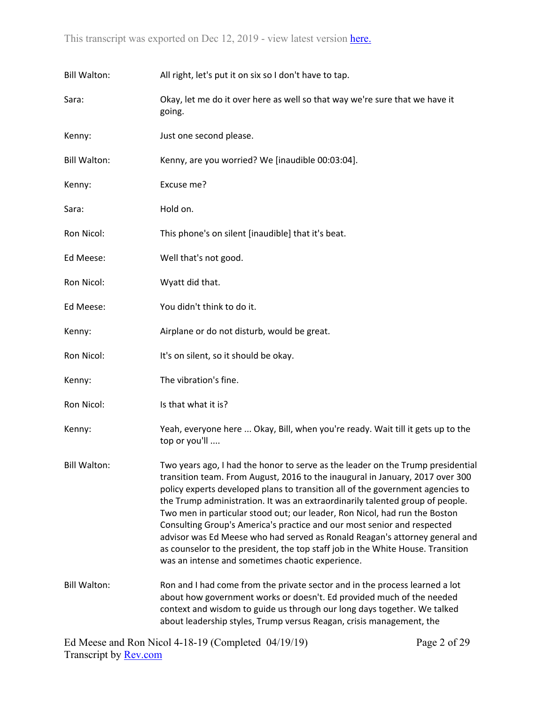| <b>Bill Walton:</b> | All right, let's put it on six so I don't have to tap.                                                                                                                                                                                                                                                                                                                                                                                                                                                                                                                                                                                                                                                             |
|---------------------|--------------------------------------------------------------------------------------------------------------------------------------------------------------------------------------------------------------------------------------------------------------------------------------------------------------------------------------------------------------------------------------------------------------------------------------------------------------------------------------------------------------------------------------------------------------------------------------------------------------------------------------------------------------------------------------------------------------------|
| Sara:               | Okay, let me do it over here as well so that way we're sure that we have it<br>going.                                                                                                                                                                                                                                                                                                                                                                                                                                                                                                                                                                                                                              |
| Kenny:              | Just one second please.                                                                                                                                                                                                                                                                                                                                                                                                                                                                                                                                                                                                                                                                                            |
| <b>Bill Walton:</b> | Kenny, are you worried? We [inaudible 00:03:04].                                                                                                                                                                                                                                                                                                                                                                                                                                                                                                                                                                                                                                                                   |
| Kenny:              | Excuse me?                                                                                                                                                                                                                                                                                                                                                                                                                                                                                                                                                                                                                                                                                                         |
| Sara:               | Hold on.                                                                                                                                                                                                                                                                                                                                                                                                                                                                                                                                                                                                                                                                                                           |
| Ron Nicol:          | This phone's on silent [inaudible] that it's beat.                                                                                                                                                                                                                                                                                                                                                                                                                                                                                                                                                                                                                                                                 |
| Ed Meese:           | Well that's not good.                                                                                                                                                                                                                                                                                                                                                                                                                                                                                                                                                                                                                                                                                              |
| Ron Nicol:          | Wyatt did that.                                                                                                                                                                                                                                                                                                                                                                                                                                                                                                                                                                                                                                                                                                    |
| Ed Meese:           | You didn't think to do it.                                                                                                                                                                                                                                                                                                                                                                                                                                                                                                                                                                                                                                                                                         |
| Kenny:              | Airplane or do not disturb, would be great.                                                                                                                                                                                                                                                                                                                                                                                                                                                                                                                                                                                                                                                                        |
| Ron Nicol:          | It's on silent, so it should be okay.                                                                                                                                                                                                                                                                                                                                                                                                                                                                                                                                                                                                                                                                              |
| Kenny:              | The vibration's fine.                                                                                                                                                                                                                                                                                                                                                                                                                                                                                                                                                                                                                                                                                              |
| Ron Nicol:          | Is that what it is?                                                                                                                                                                                                                                                                                                                                                                                                                                                                                                                                                                                                                                                                                                |
| Kenny:              | Yeah, everyone here  Okay, Bill, when you're ready. Wait till it gets up to the<br>top or you'll                                                                                                                                                                                                                                                                                                                                                                                                                                                                                                                                                                                                                   |
| <b>Bill Walton:</b> | Two years ago, I had the honor to serve as the leader on the Trump presidential<br>transition team. From August, 2016 to the inaugural in January, 2017 over 300<br>policy experts developed plans to transition all of the government agencies to<br>the Trump administration. It was an extraordinarily talented group of people.<br>Two men in particular stood out; our leader, Ron Nicol, had run the Boston<br>Consulting Group's America's practice and our most senior and respected<br>advisor was Ed Meese who had served as Ronald Reagan's attorney general and<br>as counselor to the president, the top staff job in the White House. Transition<br>was an intense and sometimes chaotic experience. |
| <b>Bill Walton:</b> | Ron and I had come from the private sector and in the process learned a lot<br>about how government works or doesn't. Ed provided much of the needed<br>context and wisdom to guide us through our long days together. We talked<br>about leadership styles, Trump versus Reagan, crisis management, the                                                                                                                                                                                                                                                                                                                                                                                                           |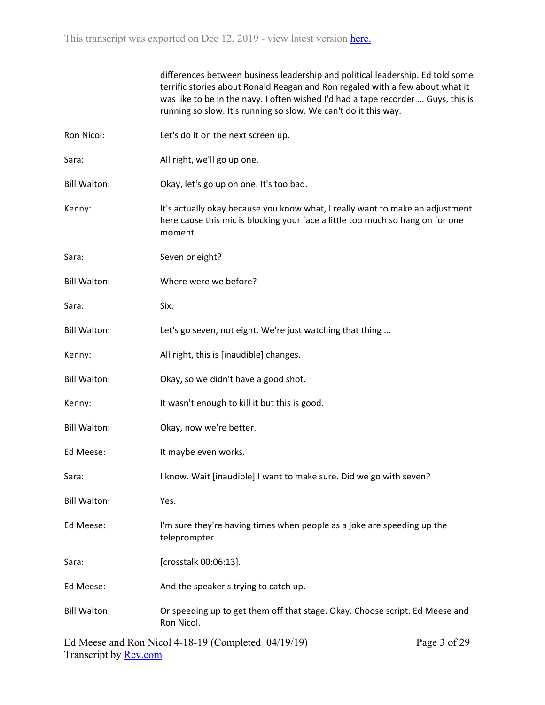|                     | differences between business leadership and political leadership. Ed told some<br>terrific stories about Ronald Reagan and Ron regaled with a few about what it<br>was like to be in the navy. I often wished I'd had a tape recorder  Guys, this is<br>running so slow. It's running so slow. We can't do it this way. |              |
|---------------------|-------------------------------------------------------------------------------------------------------------------------------------------------------------------------------------------------------------------------------------------------------------------------------------------------------------------------|--------------|
| Ron Nicol:          | Let's do it on the next screen up.                                                                                                                                                                                                                                                                                      |              |
| Sara:               | All right, we'll go up one.                                                                                                                                                                                                                                                                                             |              |
| <b>Bill Walton:</b> | Okay, let's go up on one. It's too bad.                                                                                                                                                                                                                                                                                 |              |
| Kenny:              | It's actually okay because you know what, I really want to make an adjustment<br>here cause this mic is blocking your face a little too much so hang on for one<br>moment.                                                                                                                                              |              |
| Sara:               | Seven or eight?                                                                                                                                                                                                                                                                                                         |              |
| <b>Bill Walton:</b> | Where were we before?                                                                                                                                                                                                                                                                                                   |              |
| Sara:               | Six.                                                                                                                                                                                                                                                                                                                    |              |
| <b>Bill Walton:</b> | Let's go seven, not eight. We're just watching that thing                                                                                                                                                                                                                                                               |              |
| Kenny:              | All right, this is [inaudible] changes.                                                                                                                                                                                                                                                                                 |              |
| <b>Bill Walton:</b> | Okay, so we didn't have a good shot.                                                                                                                                                                                                                                                                                    |              |
| Kenny:              | It wasn't enough to kill it but this is good.                                                                                                                                                                                                                                                                           |              |
| <b>Bill Walton:</b> | Okay, now we're better.                                                                                                                                                                                                                                                                                                 |              |
| Ed Meese:           | It maybe even works.                                                                                                                                                                                                                                                                                                    |              |
| Sara:               | I know. Wait [inaudible] I want to make sure. Did we go with seven?                                                                                                                                                                                                                                                     |              |
| <b>Bill Walton:</b> | Yes.                                                                                                                                                                                                                                                                                                                    |              |
| Ed Meese:           | I'm sure they're having times when people as a joke are speeding up the<br>teleprompter.                                                                                                                                                                                                                                |              |
| Sara:               | [crosstalk 00:06:13].                                                                                                                                                                                                                                                                                                   |              |
| Ed Meese:           | And the speaker's trying to catch up.                                                                                                                                                                                                                                                                                   |              |
| <b>Bill Walton:</b> | Or speeding up to get them off that stage. Okay. Choose script. Ed Meese and<br>Ron Nicol.                                                                                                                                                                                                                              |              |
|                     | Ed Meese and Ron Nicol 4-18-19 (Completed 04/19/19)                                                                                                                                                                                                                                                                     | Page 3 of 29 |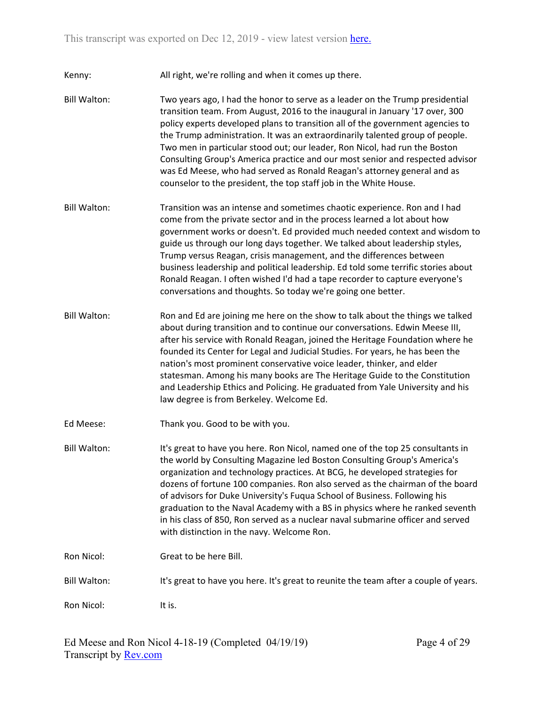Kenny: All right, we're rolling and when it comes up there.

- Bill Walton: Two years ago, I had the honor to serve as a leader on the Trump presidential transition team. From August, 2016 to the inaugural in January '17 over, 300 policy experts developed plans to transition all of the government agencies to the Trump administration. It was an extraordinarily talented group of people. Two men in particular stood out; our leader, Ron Nicol, had run the Boston Consulting Group's America practice and our most senior and respected advisor was Ed Meese, who had served as Ronald Reagan's attorney general and as counselor to the president, the top staff job in the White House.
- Bill Walton: Transition was an intense and sometimes chaotic experience. Ron and I had come from the private sector and in the process learned a lot about how government works or doesn't. Ed provided much needed context and wisdom to guide us through our long days together. We talked about leadership styles, Trump versus Reagan, crisis management, and the differences between business leadership and political leadership. Ed told some terrific stories about Ronald Reagan. I often wished I'd had a tape recorder to capture everyone's conversations and thoughts. So today we're going one better.
- Bill Walton: Ron and Ed are joining me here on the show to talk about the things we talked about during transition and to continue our conversations. Edwin Meese III, after his service with Ronald Reagan, joined the Heritage Foundation where he founded its Center for Legal and Judicial Studies. For years, he has been the nation's most prominent conservative voice leader, thinker, and elder statesman. Among his many books are The Heritage Guide to the Constitution and Leadership Ethics and Policing. He graduated from Yale University and his law degree is from Berkeley. Welcome Ed.
- Ed Meese: Thank you. Good to be with you.
- Bill Walton: It's great to have you here. Ron Nicol, named one of the top 25 consultants in the world by Consulting Magazine led Boston Consulting Group's America's organization and technology practices. At BCG, he developed strategies for dozens of fortune 100 companies. Ron also served as the chairman of the board of advisors for Duke University's Fuqua School of Business. Following his graduation to the Naval Academy with a BS in physics where he ranked seventh in his class of 850, Ron served as a nuclear naval submarine officer and served with distinction in the navy. Welcome Ron.
- Ron Nicol: Great to be here Bill.

Bill Walton: It's great to have you here. It's great to reunite the team after a couple of years.

Ron Nicol: It is.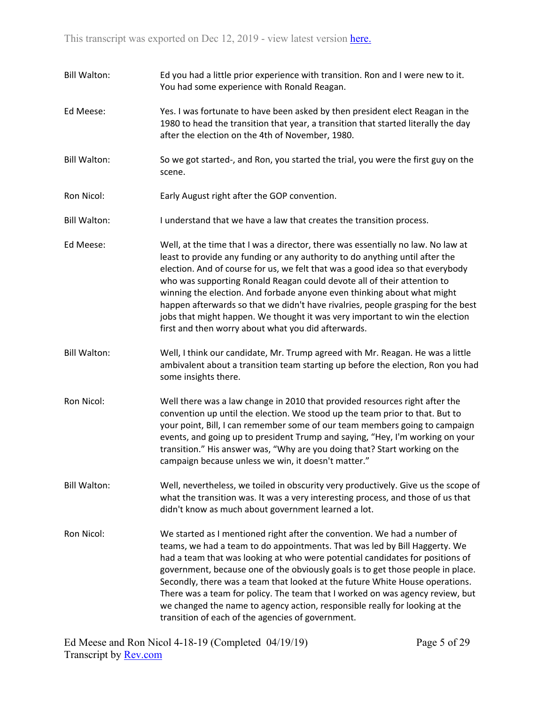- Bill Walton: Ed you had a little prior experience with transition. Ron and I were new to it. You had some experience with Ronald Reagan.
- Ed Meese: Yes. I was fortunate to have been asked by then president elect Reagan in the 1980 to head the transition that year, a transition that started literally the day after the election on the 4th of November, 1980.
- Bill Walton: So we got started-, and Ron, you started the trial, you were the first guy on the scene.
- Ron Nicol: Early August right after the GOP convention.
- Bill Walton: I understand that we have a law that creates the transition process.
- Ed Meese: Well, at the time that I was a director, there was essentially no law. No law at least to provide any funding or any authority to do anything until after the election. And of course for us, we felt that was a good idea so that everybody who was supporting Ronald Reagan could devote all of their attention to winning the election. And forbade anyone even thinking about what might happen afterwards so that we didn't have rivalries, people grasping for the best jobs that might happen. We thought it was very important to win the election first and then worry about what you did afterwards.
- Bill Walton: Well, I think our candidate, Mr. Trump agreed with Mr. Reagan. He was a little ambivalent about a transition team starting up before the election, Ron you had some insights there.
- Ron Nicol: Well there was a law change in 2010 that provided resources right after the convention up until the election. We stood up the team prior to that. But to your point, Bill, I can remember some of our team members going to campaign events, and going up to president Trump and saying, "Hey, I'm working on your transition." His answer was, "Why are you doing that? Start working on the campaign because unless we win, it doesn't matter."
- Bill Walton: Well, nevertheless, we toiled in obscurity very productively. Give us the scope of what the transition was. It was a very interesting process, and those of us that didn't know as much about government learned a lot.
- Ron Nicol: We started as I mentioned right after the convention. We had a number of teams, we had a team to do appointments. That was led by Bill Haggerty. We had a team that was looking at who were potential candidates for positions of government, because one of the obviously goals is to get those people in place. Secondly, there was a team that looked at the future White House operations. There was a team for policy. The team that I worked on was agency review, but we changed the name to agency action, responsible really for looking at the transition of each of the agencies of government.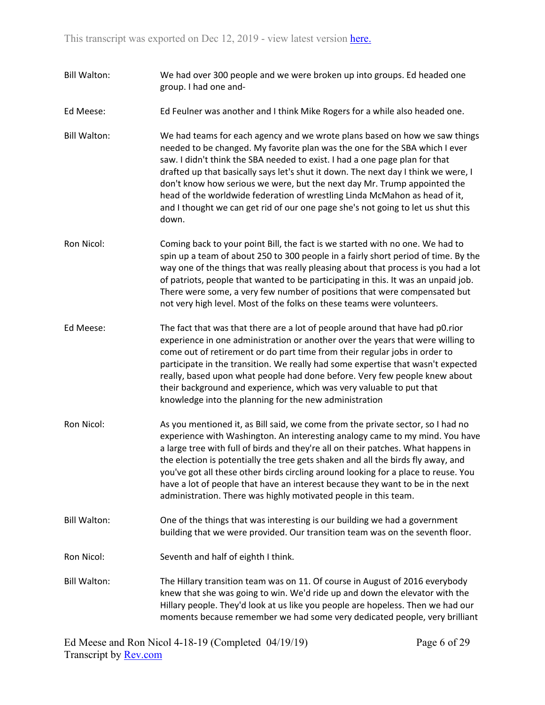- Bill Walton: We had over 300 people and we were broken up into groups. Ed headed one group. I had one and-
- Ed Meese: Ed Feulner was another and I think Mike Rogers for a while also headed one.
- Bill Walton: We had teams for each agency and we wrote plans based on how we saw things needed to be changed. My favorite plan was the one for the SBA which I ever saw. I didn't think the SBA needed to exist. I had a one page plan for that drafted up that basically says let's shut it down. The next day I think we were, I don't know how serious we were, but the next day Mr. Trump appointed the head of the worldwide federation of wrestling Linda McMahon as head of it, and I thought we can get rid of our one page she's not going to let us shut this down.
- Ron Nicol: Coming back to your point Bill, the fact is we started with no one. We had to spin up a team of about 250 to 300 people in a fairly short period of time. By the way one of the things that was really pleasing about that process is you had a lot of patriots, people that wanted to be participating in this. It was an unpaid job. There were some, a very few number of positions that were compensated but not very high level. Most of the folks on these teams were volunteers.
- Ed Meese: The fact that was that there are a lot of people around that have had p0.rior experience in one administration or another over the years that were willing to come out of retirement or do part time from their regular jobs in order to participate in the transition. We really had some expertise that wasn't expected really, based upon what people had done before. Very few people knew about their background and experience, which was very valuable to put that knowledge into the planning for the new administration
- Ron Nicol: As you mentioned it, as Bill said, we come from the private sector, so I had no experience with Washington. An interesting analogy came to my mind. You have a large tree with full of birds and they're all on their patches. What happens in the election is potentially the tree gets shaken and all the birds fly away, and you've got all these other birds circling around looking for a place to reuse. You have a lot of people that have an interest because they want to be in the next administration. There was highly motivated people in this team.
- Bill Walton: One of the things that was interesting is our building we had a government building that we were provided. Our transition team was on the seventh floor.
- Ron Nicol: Seventh and half of eighth I think.
- Bill Walton: The Hillary transition team was on 11. Of course in August of 2016 everybody knew that she was going to win. We'd ride up and down the elevator with the Hillary people. They'd look at us like you people are hopeless. Then we had our moments because remember we had some very dedicated people, very brilliant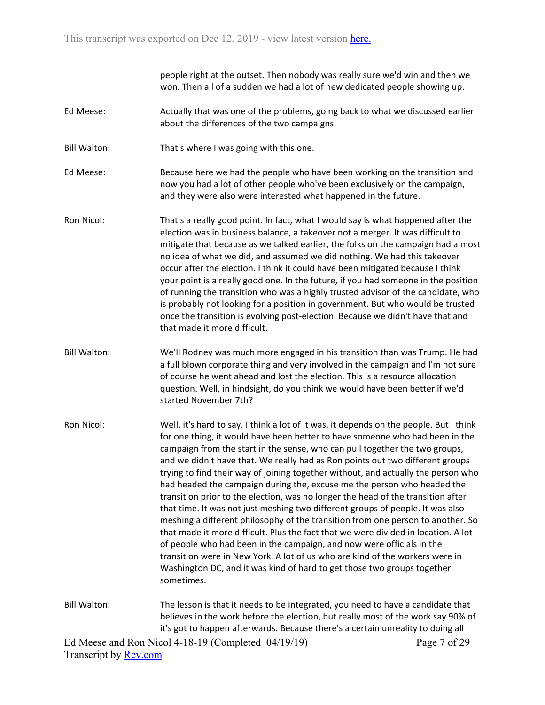people right at the outset. Then nobody was really sure we'd win and then we won. Then all of a sudden we had a lot of new dedicated people showing up.

- Ed Meese: Actually that was one of the problems, going back to what we discussed earlier about the differences of the two campaigns.
- Bill Walton: That's where I was going with this one.

Ed Meese: Because here we had the people who have been working on the transition and now you had a lot of other people who've been exclusively on the campaign, and they were also were interested what happened in the future.

- Ron Nicol: That's a really good point. In fact, what I would say is what happened after the election was in business balance, a takeover not a merger. It was difficult to mitigate that because as we talked earlier, the folks on the campaign had almost no idea of what we did, and assumed we did nothing. We had this takeover occur after the election. I think it could have been mitigated because I think your point is a really good one. In the future, if you had someone in the position of running the transition who was a highly trusted advisor of the candidate, who is probably not looking for a position in government. But who would be trusted once the transition is evolving post-election. Because we didn't have that and that made it more difficult.
- Bill Walton: We'll Rodney was much more engaged in his transition than was Trump. He had a full blown corporate thing and very involved in the campaign and I'm not sure of course he went ahead and lost the election. This is a resource allocation question. Well, in hindsight, do you think we would have been better if we'd started November 7th?
- Ron Nicol: Well, it's hard to say. I think a lot of it was, it depends on the people. But I think for one thing, it would have been better to have someone who had been in the campaign from the start in the sense, who can pull together the two groups, and we didn't have that. We really had as Ron points out two different groups trying to find their way of joining together without, and actually the person who had headed the campaign during the, excuse me the person who headed the transition prior to the election, was no longer the head of the transition after that time. It was not just meshing two different groups of people. It was also meshing a different philosophy of the transition from one person to another. So that made it more difficult. Plus the fact that we were divided in location. A lot of people who had been in the campaign, and now were officials in the transition were in New York. A lot of us who are kind of the workers were in Washington DC, and it was kind of hard to get those two groups together sometimes.
- Bill Walton: The lesson is that it needs to be integrated, you need to have a candidate that believes in the work before the election, but really most of the work say 90% of it's got to happen afterwards. Because there's a certain unreality to doing all

Ed Meese and Ron Nicol 4-18-19 (Completed 04/19/19) Transcript by [Rev.com](https://www.rev.com/)

Page 7 of 29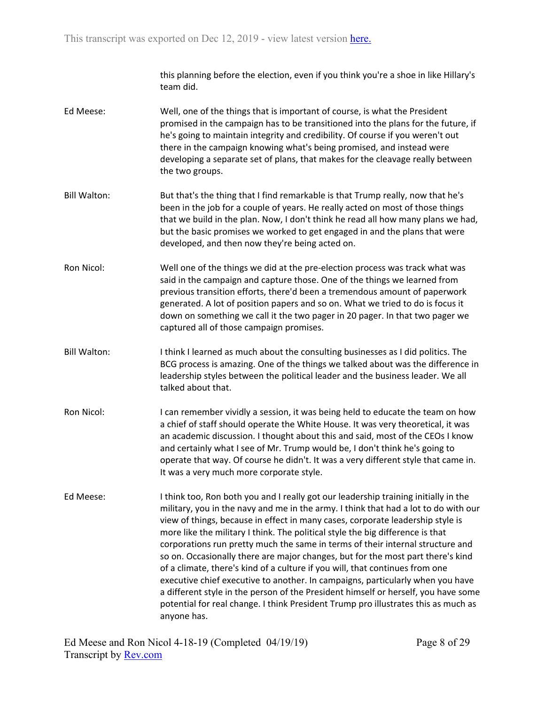this planning before the election, even if you think you're a shoe in like Hillary's team did.

- Ed Meese: Well, one of the things that is important of course, is what the President promised in the campaign has to be transitioned into the plans for the future, if he's going to maintain integrity and credibility. Of course if you weren't out there in the campaign knowing what's being promised, and instead were developing a separate set of plans, that makes for the cleavage really between the two groups.
- Bill Walton: But that's the thing that I find remarkable is that Trump really, now that he's been in the job for a couple of years. He really acted on most of those things that we build in the plan. Now, I don't think he read all how many plans we had, but the basic promises we worked to get engaged in and the plans that were developed, and then now they're being acted on.
- Ron Nicol: Well one of the things we did at the pre-election process was track what was said in the campaign and capture those. One of the things we learned from previous transition efforts, there'd been a tremendous amount of paperwork generated. A lot of position papers and so on. What we tried to do is focus it down on something we call it the two pager in 20 pager. In that two pager we captured all of those campaign promises.
- Bill Walton: I think I learned as much about the consulting businesses as I did politics. The BCG process is amazing. One of the things we talked about was the difference in leadership styles between the political leader and the business leader. We all talked about that.
- Ron Nicol: I can remember vividly a session, it was being held to educate the team on how a chief of staff should operate the White House. It was very theoretical, it was an academic discussion. I thought about this and said, most of the CEOs I know and certainly what I see of Mr. Trump would be, I don't think he's going to operate that way. Of course he didn't. It was a very different style that came in. It was a very much more corporate style.
- Ed Meese: I think too, Ron both you and I really got our leadership training initially in the military, you in the navy and me in the army. I think that had a lot to do with our view of things, because in effect in many cases, corporate leadership style is more like the military I think. The political style the big difference is that corporations run pretty much the same in terms of their internal structure and so on. Occasionally there are major changes, but for the most part there's kind of a climate, there's kind of a culture if you will, that continues from one executive chief executive to another. In campaigns, particularly when you have a different style in the person of the President himself or herself, you have some potential for real change. I think President Trump pro illustrates this as much as anyone has.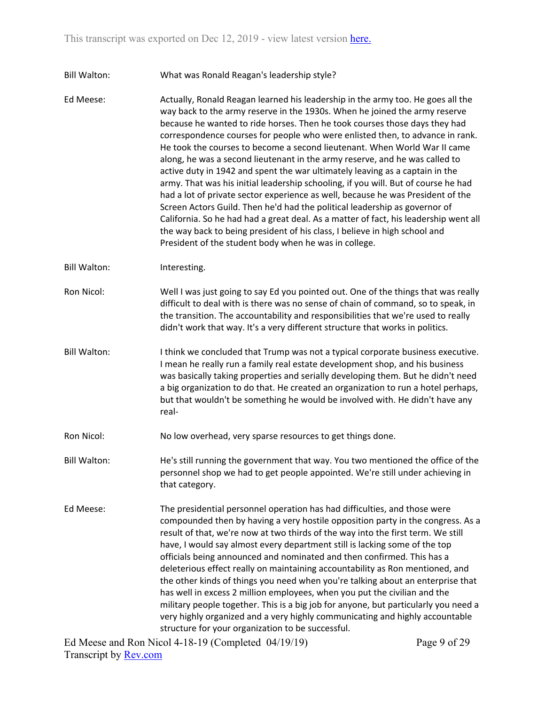## Bill Walton: What was Ronald Reagan's leadership style?

Ed Meese: Actually, Ronald Reagan learned his leadership in the army too. He goes all the way back to the army reserve in the 1930s. When he joined the army reserve because he wanted to ride horses. Then he took courses those days they had correspondence courses for people who were enlisted then, to advance in rank. He took the courses to become a second lieutenant. When World War II came along, he was a second lieutenant in the army reserve, and he was called to active duty in 1942 and spent the war ultimately leaving as a captain in the army. That was his initial leadership schooling, if you will. But of course he had had a lot of private sector experience as well, because he was President of the Screen Actors Guild. Then he'd had the political leadership as governor of California. So he had had a great deal. As a matter of fact, his leadership went all the way back to being president of his class, I believe in high school and President of the student body when he was in college.

Bill Walton: Interesting.

- Ron Nicol: Well I was just going to say Ed you pointed out. One of the things that was really difficult to deal with is there was no sense of chain of command, so to speak, in the transition. The accountability and responsibilities that we're used to really didn't work that way. It's a very different structure that works in politics.
- Bill Walton: I think we concluded that Trump was not a typical corporate business executive. I mean he really run a family real estate development shop, and his business was basically taking properties and serially developing them. But he didn't need a big organization to do that. He created an organization to run a hotel perhaps, but that wouldn't be something he would be involved with. He didn't have any real-
- Ron Nicol: No low overhead, very sparse resources to get things done.
- Bill Walton: He's still running the government that way. You two mentioned the office of the personnel shop we had to get people appointed. We're still under achieving in that category.
- Ed Meese: The presidential personnel operation has had difficulties, and those were compounded then by having a very hostile opposition party in the congress. As a result of that, we're now at two thirds of the way into the first term. We still have, I would say almost every department still is lacking some of the top officials being announced and nominated and then confirmed. This has a deleterious effect really on maintaining accountability as Ron mentioned, and the other kinds of things you need when you're talking about an enterprise that has well in excess 2 million employees, when you put the civilian and the military people together. This is a big job for anyone, but particularly you need a very highly organized and a very highly communicating and highly accountable structure for your organization to be successful.

Ed Meese and Ron Nicol 4-18-19 (Completed 04/19/19) Transcript by [Rev.com](https://www.rev.com/)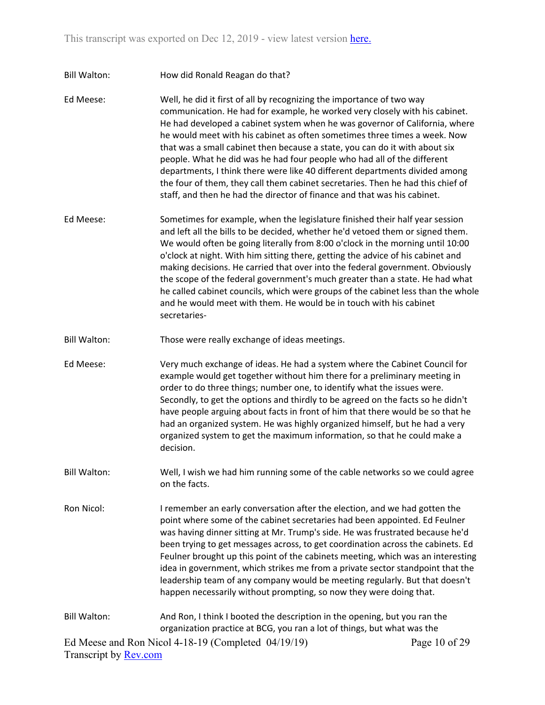Bill Walton: How did Ronald Reagan do that?

Ed Meese: Well, he did it first of all by recognizing the importance of two way communication. He had for example, he worked very closely with his cabinet. He had developed a cabinet system when he was governor of California, where he would meet with his cabinet as often sometimes three times a week. Now that was a small cabinet then because a state, you can do it with about six people. What he did was he had four people who had all of the different departments, I think there were like 40 different departments divided among the four of them, they call them cabinet secretaries. Then he had this chief of staff, and then he had the director of finance and that was his cabinet.

- Ed Meese: Sometimes for example, when the legislature finished their half year session and left all the bills to be decided, whether he'd vetoed them or signed them. We would often be going literally from 8:00 o'clock in the morning until 10:00 o'clock at night. With him sitting there, getting the advice of his cabinet and making decisions. He carried that over into the federal government. Obviously the scope of the federal government's much greater than a state. He had what he called cabinet councils, which were groups of the cabinet less than the whole and he would meet with them. He would be in touch with his cabinet secretaries-
- Bill Walton: Those were really exchange of ideas meetings.

Ed Meese: Very much exchange of ideas. He had a system where the Cabinet Council for example would get together without him there for a preliminary meeting in order to do three things; number one, to identify what the issues were. Secondly, to get the options and thirdly to be agreed on the facts so he didn't have people arguing about facts in front of him that there would be so that he had an organized system. He was highly organized himself, but he had a very organized system to get the maximum information, so that he could make a decision.

- Bill Walton: Well, I wish we had him running some of the cable networks so we could agree on the facts.
- Ron Nicol: I remember an early conversation after the election, and we had gotten the point where some of the cabinet secretaries had been appointed. Ed Feulner was having dinner sitting at Mr. Trump's side. He was frustrated because he'd been trying to get messages across, to get coordination across the cabinets. Ed Feulner brought up this point of the cabinets meeting, which was an interesting idea in government, which strikes me from a private sector standpoint that the leadership team of any company would be meeting regularly. But that doesn't happen necessarily without prompting, so now they were doing that.

Ed Meese and Ron Nicol 4-18-19 (Completed 04/19/19) Transcript by [Rev.com](https://www.rev.com/) Page 10 of 29 Bill Walton: And Ron, I think I booted the description in the opening, but you ran the organization practice at BCG, you ran a lot of things, but what was the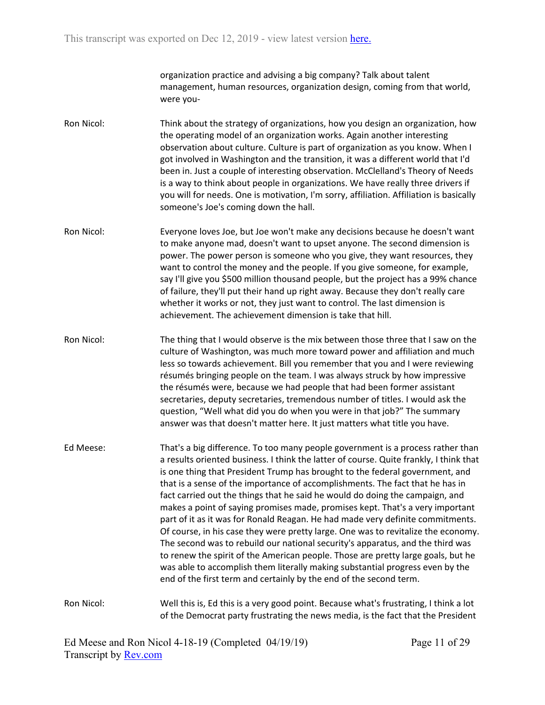organization practice and advising a big company? Talk about talent management, human resources, organization design, coming from that world, were you-

- Ron Nicol: Think about the strategy of organizations, how you design an organization, how the operating model of an organization works. Again another interesting observation about culture. Culture is part of organization as you know. When I got involved in Washington and the transition, it was a different world that I'd been in. Just a couple of interesting observation. McClelland's Theory of Needs is a way to think about people in organizations. We have really three drivers if you will for needs. One is motivation, I'm sorry, affiliation. Affiliation is basically someone's Joe's coming down the hall.
- Ron Nicol: Everyone loves Joe, but Joe won't make any decisions because he doesn't want to make anyone mad, doesn't want to upset anyone. The second dimension is power. The power person is someone who you give, they want resources, they want to control the money and the people. If you give someone, for example, say I'll give you \$500 million thousand people, but the project has a 99% chance of failure, they'll put their hand up right away. Because they don't really care whether it works or not, they just want to control. The last dimension is achievement. The achievement dimension is take that hill.
- Ron Nicol: The thing that I would observe is the mix between those three that I saw on the culture of Washington, was much more toward power and affiliation and much less so towards achievement. Bill you remember that you and I were reviewing résumés bringing people on the team. I was always struck by how impressive the résumés were, because we had people that had been former assistant secretaries, deputy secretaries, tremendous number of titles. I would ask the question, "Well what did you do when you were in that job?" The summary answer was that doesn't matter here. It just matters what title you have.
- Ed Meese: That's a big difference. To too many people government is a process rather than a results oriented business. I think the latter of course. Quite frankly, I think that is one thing that President Trump has brought to the federal government, and that is a sense of the importance of accomplishments. The fact that he has in fact carried out the things that he said he would do doing the campaign, and makes a point of saying promises made, promises kept. That's a very important part of it as it was for Ronald Reagan. He had made very definite commitments. Of course, in his case they were pretty large. One was to revitalize the economy. The second was to rebuild our national security's apparatus, and the third was to renew the spirit of the American people. Those are pretty large goals, but he was able to accomplish them literally making substantial progress even by the end of the first term and certainly by the end of the second term.

Ron Nicol: Well this is, Ed this is a very good point. Because what's frustrating, I think a lot of the Democrat party frustrating the news media, is the fact that the President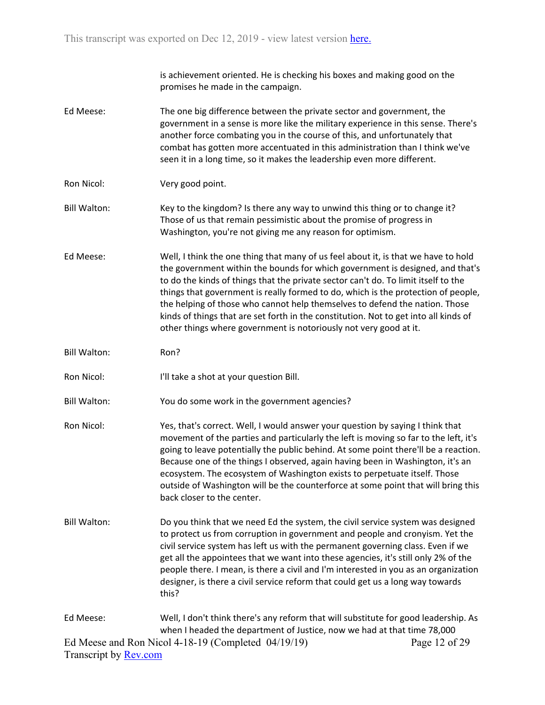is achievement oriented. He is checking his boxes and making good on the promises he made in the campaign.

- Ed Meese: The one big difference between the private sector and government, the government in a sense is more like the military experience in this sense. There's another force combating you in the course of this, and unfortunately that combat has gotten more accentuated in this administration than I think we've seen it in a long time, so it makes the leadership even more different.
- Ron Nicol: Very good point.
- Bill Walton: Key to the kingdom? Is there any way to unwind this thing or to change it? Those of us that remain pessimistic about the promise of progress in Washington, you're not giving me any reason for optimism.
- Ed Meese: Well, I think the one thing that many of us feel about it, is that we have to hold the government within the bounds for which government is designed, and that's to do the kinds of things that the private sector can't do. To limit itself to the things that government is really formed to do, which is the protection of people, the helping of those who cannot help themselves to defend the nation. Those kinds of things that are set forth in the constitution. Not to get into all kinds of other things where government is notoriously not very good at it.
- Bill Walton: Ron?
- Ron Nicol: I'll take a shot at your question Bill.
- Bill Walton: You do some work in the government agencies?
- Ron Nicol: Yes, that's correct. Well, I would answer your question by saying I think that movement of the parties and particularly the left is moving so far to the left, it's going to leave potentially the public behind. At some point there'll be a reaction. Because one of the things I observed, again having been in Washington, it's an ecosystem. The ecosystem of Washington exists to perpetuate itself. Those outside of Washington will be the counterforce at some point that will bring this back closer to the center.
- Bill Walton: Do you think that we need Ed the system, the civil service system was designed to protect us from corruption in government and people and cronyism. Yet the civil service system has left us with the permanent governing class. Even if we get all the appointees that we want into these agencies, it's still only 2% of the people there. I mean, is there a civil and I'm interested in you as an organization designer, is there a civil service reform that could get us a long way towards this?

## Ed Meese and Ron Nicol 4-18-19 (Completed 04/19/19) Transcript by [Rev.com](https://www.rev.com/) Page 12 of 29 Ed Meese: Well, I don't think there's any reform that will substitute for good leadership. As when I headed the department of Justice, now we had at that time 78,000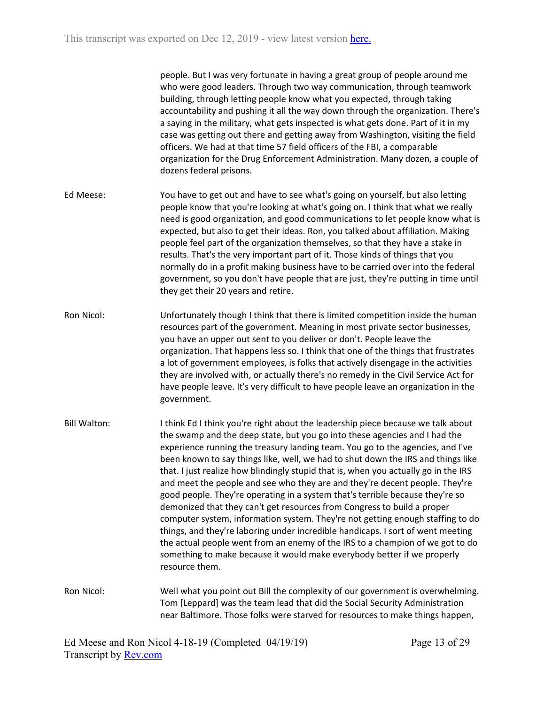people. But I was very fortunate in having a great group of people around me who were good leaders. Through two way communication, through teamwork building, through letting people know what you expected, through taking accountability and pushing it all the way down through the organization. There's a saying in the military, what gets inspected is what gets done. Part of it in my case was getting out there and getting away from Washington, visiting the field officers. We had at that time 57 field officers of the FBI, a comparable organization for the Drug Enforcement Administration. Many dozen, a couple of dozens federal prisons.

- Ed Meese: You have to get out and have to see what's going on yourself, but also letting people know that you're looking at what's going on. I think that what we really need is good organization, and good communications to let people know what is expected, but also to get their ideas. Ron, you talked about affiliation. Making people feel part of the organization themselves, so that they have a stake in results. That's the very important part of it. Those kinds of things that you normally do in a profit making business have to be carried over into the federal government, so you don't have people that are just, they're putting in time until they get their 20 years and retire.
- Ron Nicol: Unfortunately though I think that there is limited competition inside the human resources part of the government. Meaning in most private sector businesses, you have an upper out sent to you deliver or don't. People leave the organization. That happens less so. I think that one of the things that frustrates a lot of government employees, is folks that actively disengage in the activities they are involved with, or actually there's no remedy in the Civil Service Act for have people leave. It's very difficult to have people leave an organization in the government.
- Bill Walton: I think Ed I think you're right about the leadership piece because we talk about the swamp and the deep state, but you go into these agencies and I had the experience running the treasury landing team. You go to the agencies, and I've been known to say things like, well, we had to shut down the IRS and things like that. I just realize how blindingly stupid that is, when you actually go in the IRS and meet the people and see who they are and they're decent people. They're good people. They're operating in a system that's terrible because they're so demonized that they can't get resources from Congress to build a proper computer system, information system. They're not getting enough staffing to do things, and they're laboring under incredible handicaps. I sort of went meeting the actual people went from an enemy of the IRS to a champion of we got to do something to make because it would make everybody better if we properly resource them.
- Ron Nicol: Well what you point out Bill the complexity of our government is overwhelming. Tom [Leppard] was the team lead that did the Social Security Administration near Baltimore. Those folks were starved for resources to make things happen,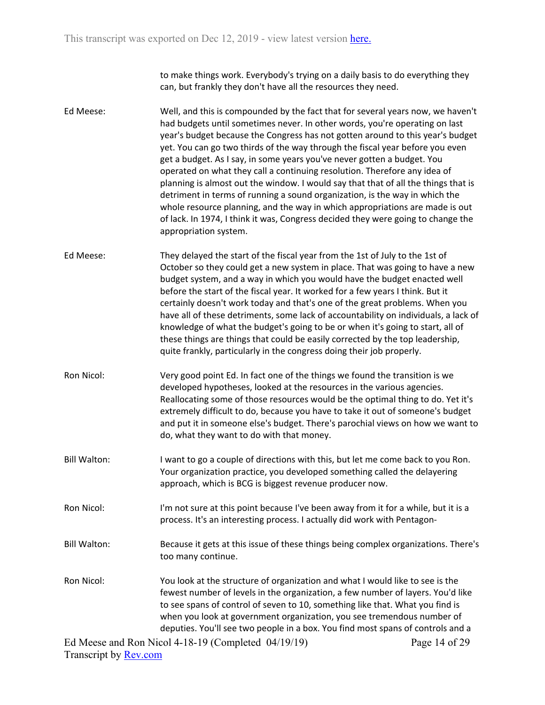to make things work. Everybody's trying on a daily basis to do everything they can, but frankly they don't have all the resources they need.

- Ed Meese: Well, and this is compounded by the fact that for several years now, we haven't had budgets until sometimes never. In other words, you're operating on last year's budget because the Congress has not gotten around to this year's budget yet. You can go two thirds of the way through the fiscal year before you even get a budget. As I say, in some years you've never gotten a budget. You operated on what they call a continuing resolution. Therefore any idea of planning is almost out the window. I would say that that of all the things that is detriment in terms of running a sound organization, is the way in which the whole resource planning, and the way in which appropriations are made is out of lack. In 1974, I think it was, Congress decided they were going to change the appropriation system.
- Ed Meese: They delayed the start of the fiscal year from the 1st of July to the 1st of October so they could get a new system in place. That was going to have a new budget system, and a way in which you would have the budget enacted well before the start of the fiscal year. It worked for a few years I think. But it certainly doesn't work today and that's one of the great problems. When you have all of these detriments, some lack of accountability on individuals, a lack of knowledge of what the budget's going to be or when it's going to start, all of these things are things that could be easily corrected by the top leadership, quite frankly, particularly in the congress doing their job properly.
- Ron Nicol: Very good point Ed. In fact one of the things we found the transition is we developed hypotheses, looked at the resources in the various agencies. Reallocating some of those resources would be the optimal thing to do. Yet it's extremely difficult to do, because you have to take it out of someone's budget and put it in someone else's budget. There's parochial views on how we want to do, what they want to do with that money.
- Bill Walton: I want to go a couple of directions with this, but let me come back to you Ron. Your organization practice, you developed something called the delayering approach, which is BCG is biggest revenue producer now.
- Ron Nicol: I'm not sure at this point because I've been away from it for a while, but it is a process. It's an interesting process. I actually did work with Pentagon-
- Bill Walton: Because it gets at this issue of these things being complex organizations. There's too many continue.
- Ron Nicol: You look at the structure of organization and what I would like to see is the fewest number of levels in the organization, a few number of layers. You'd like to see spans of control of seven to 10, something like that. What you find is when you look at government organization, you see tremendous number of deputies. You'll see two people in a box. You find most spans of controls and a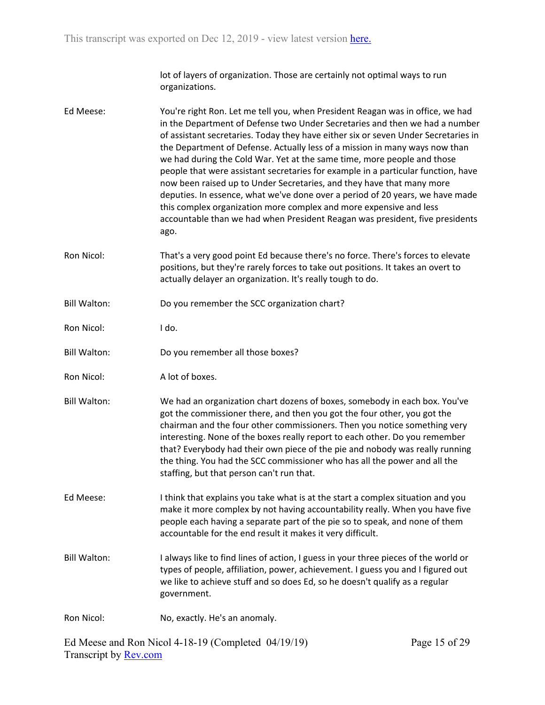lot of layers of organization. Those are certainly not optimal ways to run organizations.

Ed Meese: You're right Ron. Let me tell you, when President Reagan was in office, we had in the Department of Defense two Under Secretaries and then we had a number of assistant secretaries. Today they have either six or seven Under Secretaries in the Department of Defense. Actually less of a mission in many ways now than we had during the Cold War. Yet at the same time, more people and those people that were assistant secretaries for example in a particular function, have now been raised up to Under Secretaries, and they have that many more deputies. In essence, what we've done over a period of 20 years, we have made this complex organization more complex and more expensive and less accountable than we had when President Reagan was president, five presidents ago. Ron Nicol: That's a very good point Ed because there's no force. There's forces to elevate positions, but they're rarely forces to take out positions. It takes an overt to actually delayer an organization. It's really tough to do. Bill Walton: Do you remember the SCC organization chart? Ron Nicol: I do. Bill Walton: Do you remember all those boxes? Ron Nicol: A lot of boxes. Bill Walton: We had an organization chart dozens of boxes, somebody in each box. You've got the commissioner there, and then you got the four other, you got the chairman and the four other commissioners. Then you notice something very interesting. None of the boxes really report to each other. Do you remember that? Everybody had their own piece of the pie and nobody was really running the thing. You had the SCC commissioner who has all the power and all the staffing, but that person can't run that. Ed Meese: I think that explains you take what is at the start a complex situation and you make it more complex by not having accountability really. When you have five people each having a separate part of the pie so to speak, and none of them accountable for the end result it makes it very difficult. Bill Walton: I always like to find lines of action, I guess in your three pieces of the world or types of people, affiliation, power, achievement. I guess you and I figured out we like to achieve stuff and so does Ed, so he doesn't qualify as a regular government. Ron Nicol: No, exactly. He's an anomaly.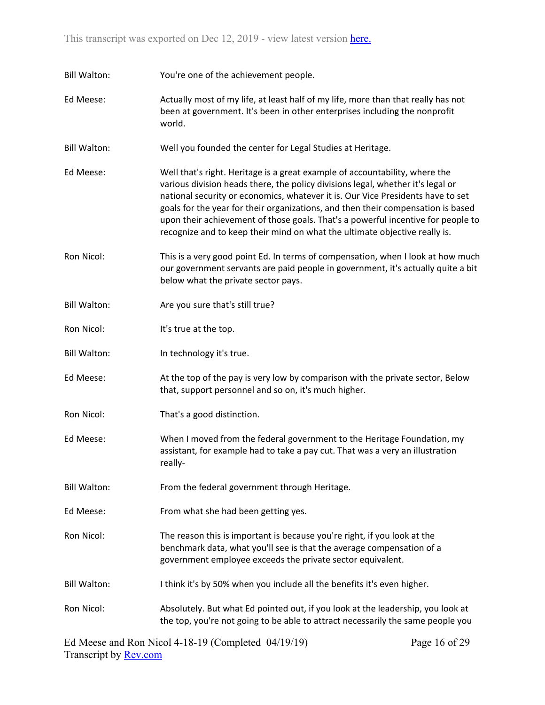Bill Walton: You're one of the achievement people.

Ed Meese: Actually most of my life, at least half of my life, more than that really has not been at government. It's been in other enterprises including the nonprofit world.

Bill Walton: Well you founded the center for Legal Studies at Heritage.

- Ed Meese: Well that's right. Heritage is a great example of accountability, where the various division heads there, the policy divisions legal, whether it's legal or national security or economics, whatever it is. Our Vice Presidents have to set goals for the year for their organizations, and then their compensation is based upon their achievement of those goals. That's a powerful incentive for people to recognize and to keep their mind on what the ultimate objective really is.
- Ron Nicol: This is a very good point Ed. In terms of compensation, when I look at how much our government servants are paid people in government, it's actually quite a bit below what the private sector pays.
- Bill Walton: Are you sure that's still true?
- Ron Nicol: It's true at the top.
- Bill Walton: In technology it's true.
- Ed Meese: At the top of the pay is very low by comparison with the private sector, Below that, support personnel and so on, it's much higher.
- Ron Nicol: That's a good distinction.
- Ed Meese: When I moved from the federal government to the Heritage Foundation, my assistant, for example had to take a pay cut. That was a very an illustration really-
- Bill Walton: From the federal government through Heritage.
- Ed Meese: From what she had been getting yes.
- Ron Nicol: The reason this is important is because you're right, if you look at the benchmark data, what you'll see is that the average compensation of a government employee exceeds the private sector equivalent.
- Bill Walton: I think it's by 50% when you include all the benefits it's even higher.
- Ron Nicol: Absolutely. But what Ed pointed out, if you look at the leadership, you look at the top, you're not going to be able to attract necessarily the same people you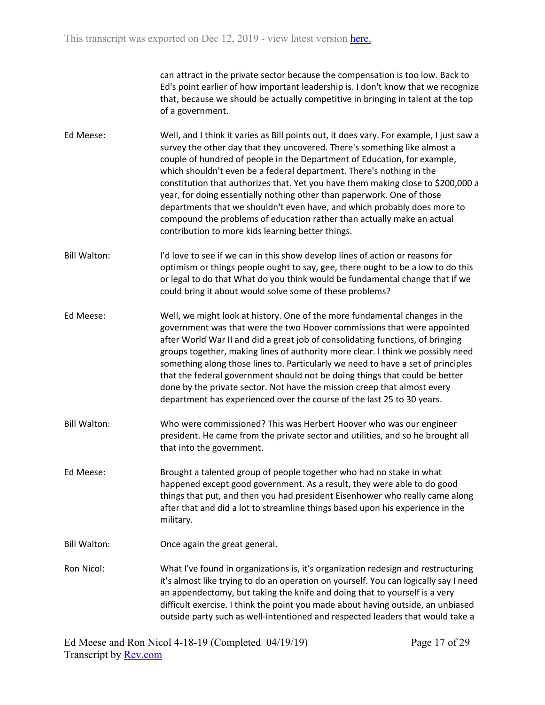can attract in the private sector because the compensation is too low. Back to Ed's point earlier of how important leadership is. I don't know that we recognize that, because we should be actually competitive in bringing in talent at the top of a government.

- Ed Meese: Well, and I think it varies as Bill points out, it does vary. For example, I just saw a survey the other day that they uncovered. There's something like almost a couple of hundred of people in the Department of Education, for example, which shouldn't even be a federal department. There's nothing in the constitution that authorizes that. Yet you have them making close to \$200,000 a year, for doing essentially nothing other than paperwork. One of those departments that we shouldn't even have, and which probably does more to compound the problems of education rather than actually make an actual contribution to more kids learning better things.
- Bill Walton: I'd love to see if we can in this show develop lines of action or reasons for optimism or things people ought to say, gee, there ought to be a low to do this or legal to do that What do you think would be fundamental change that if we could bring it about would solve some of these problems?
- Ed Meese: Well, we might look at history. One of the more fundamental changes in the government was that were the two Hoover commissions that were appointed after World War II and did a great job of consolidating functions, of bringing groups together, making lines of authority more clear. I think we possibly need something along those lines to. Particularly we need to have a set of principles that the federal government should not be doing things that could be better done by the private sector. Not have the mission creep that almost every department has experienced over the course of the last 25 to 30 years.
- Bill Walton: Who were commissioned? This was Herbert Hoover who was our engineer president. He came from the private sector and utilities, and so he brought all that into the government.
- Ed Meese: Brought a talented group of people together who had no stake in what happened except good government. As a result, they were able to do good things that put, and then you had president Eisenhower who really came along after that and did a lot to streamline things based upon his experience in the military.
- Bill Walton: Once again the great general.
- Ron Nicol: What I've found in organizations is, it's organization redesign and restructuring it's almost like trying to do an operation on yourself. You can logically say I need an appendectomy, but taking the knife and doing that to yourself is a very difficult exercise. I think the point you made about having outside, an unbiased outside party such as well-intentioned and respected leaders that would take a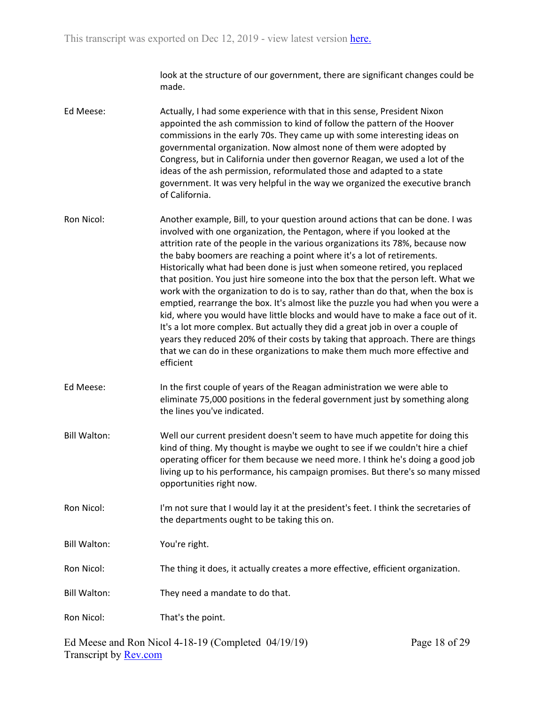look at the structure of our government, there are significant changes could be made.

- Ed Meese: Actually, I had some experience with that in this sense, President Nixon appointed the ash commission to kind of follow the pattern of the Hoover commissions in the early 70s. They came up with some interesting ideas on governmental organization. Now almost none of them were adopted by Congress, but in California under then governor Reagan, we used a lot of the ideas of the ash permission, reformulated those and adapted to a state government. It was very helpful in the way we organized the executive branch of California.
- Ron Nicol: Another example, Bill, to your question around actions that can be done. I was involved with one organization, the Pentagon, where if you looked at the attrition rate of the people in the various organizations its 78%, because now the baby boomers are reaching a point where it's a lot of retirements. Historically what had been done is just when someone retired, you replaced that position. You just hire someone into the box that the person left. What we work with the organization to do is to say, rather than do that, when the box is emptied, rearrange the box. It's almost like the puzzle you had when you were a kid, where you would have little blocks and would have to make a face out of it. It's a lot more complex. But actually they did a great job in over a couple of years they reduced 20% of their costs by taking that approach. There are things that we can do in these organizations to make them much more effective and efficient
- Ed Meese: In the first couple of years of the Reagan administration we were able to eliminate 75,000 positions in the federal government just by something along the lines you've indicated.
- Bill Walton: Well our current president doesn't seem to have much appetite for doing this kind of thing. My thought is maybe we ought to see if we couldn't hire a chief operating officer for them because we need more. I think he's doing a good job living up to his performance, his campaign promises. But there's so many missed opportunities right now.
- Ron Nicol: I'm not sure that I would lay it at the president's feet. I think the secretaries of the departments ought to be taking this on.

Bill Walton: You're right.

- Ron Nicol: The thing it does, it actually creates a more effective, efficient organization.
- Bill Walton: They need a mandate to do that.

Ron Nicol: That's the point.

Ed Meese and Ron Nicol 4-18-19 (Completed 04/19/19) Transcript by [Rev.com](https://www.rev.com/)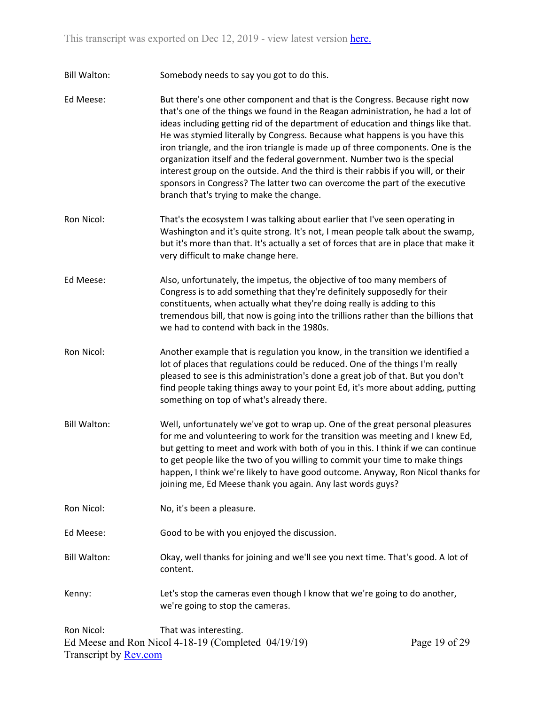Bill Walton: Somebody needs to say you got to do this.

- Ed Meese: But there's one other component and that is the Congress. Because right now that's one of the things we found in the Reagan administration, he had a lot of ideas including getting rid of the department of education and things like that. He was stymied literally by Congress. Because what happens is you have this iron triangle, and the iron triangle is made up of three components. One is the organization itself and the federal government. Number two is the special interest group on the outside. And the third is their rabbis if you will, or their sponsors in Congress? The latter two can overcome the part of the executive branch that's trying to make the change.
- Ron Nicol: That's the ecosystem I was talking about earlier that I've seen operating in Washington and it's quite strong. It's not, I mean people talk about the swamp, but it's more than that. It's actually a set of forces that are in place that make it very difficult to make change here.
- Ed Meese: Also, unfortunately, the impetus, the objective of too many members of Congress is to add something that they're definitely supposedly for their constituents, when actually what they're doing really is adding to this tremendous bill, that now is going into the trillions rather than the billions that we had to contend with back in the 1980s.
- Ron Nicol: Another example that is regulation you know, in the transition we identified a lot of places that regulations could be reduced. One of the things I'm really pleased to see is this administration's done a great job of that. But you don't find people taking things away to your point Ed, it's more about adding, putting something on top of what's already there.
- Bill Walton: Well, unfortunately we've got to wrap up. One of the great personal pleasures for me and volunteering to work for the transition was meeting and I knew Ed, but getting to meet and work with both of you in this. I think if we can continue to get people like the two of you willing to commit your time to make things happen, I think we're likely to have good outcome. Anyway, Ron Nicol thanks for joining me, Ed Meese thank you again. Any last words guys?
- Ron Nicol: No, it's been a pleasure.

Ed Meese: Good to be with you enjoyed the discussion.

- Bill Walton: Okay, well thanks for joining and we'll see you next time. That's good. A lot of content.
- Kenny: Let's stop the cameras even though I know that we're going to do another, we're going to stop the cameras.

Ed Meese and Ron Nicol 4-18-19 (Completed 04/19/19) Transcript by [Rev.com](https://www.rev.com/) Ron Nicol: That was interesting.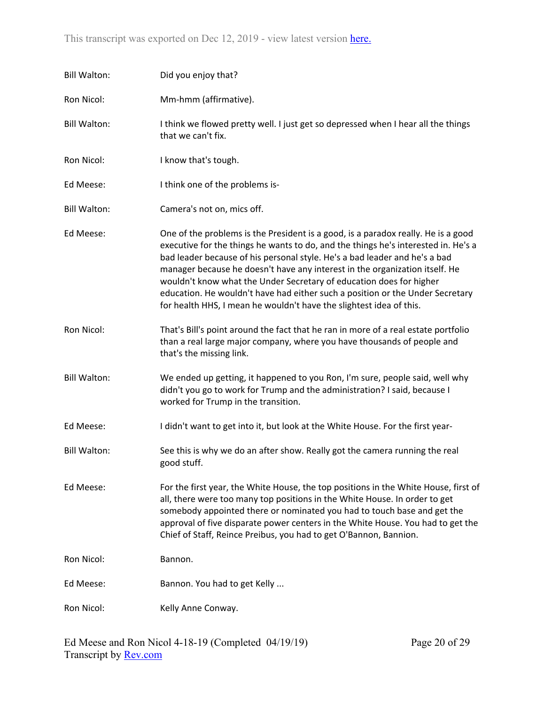| <b>Bill Walton:</b> | Did you enjoy that?                                                                                                                                                                                                                                                                                                                                                                                                                                                                                                                                                 |
|---------------------|---------------------------------------------------------------------------------------------------------------------------------------------------------------------------------------------------------------------------------------------------------------------------------------------------------------------------------------------------------------------------------------------------------------------------------------------------------------------------------------------------------------------------------------------------------------------|
| Ron Nicol:          | Mm-hmm (affirmative).                                                                                                                                                                                                                                                                                                                                                                                                                                                                                                                                               |
| <b>Bill Walton:</b> | I think we flowed pretty well. I just get so depressed when I hear all the things<br>that we can't fix.                                                                                                                                                                                                                                                                                                                                                                                                                                                             |
| Ron Nicol:          | I know that's tough.                                                                                                                                                                                                                                                                                                                                                                                                                                                                                                                                                |
| Ed Meese:           | I think one of the problems is-                                                                                                                                                                                                                                                                                                                                                                                                                                                                                                                                     |
| <b>Bill Walton:</b> | Camera's not on, mics off.                                                                                                                                                                                                                                                                                                                                                                                                                                                                                                                                          |
| Ed Meese:           | One of the problems is the President is a good, is a paradox really. He is a good<br>executive for the things he wants to do, and the things he's interested in. He's a<br>bad leader because of his personal style. He's a bad leader and he's a bad<br>manager because he doesn't have any interest in the organization itself. He<br>wouldn't know what the Under Secretary of education does for higher<br>education. He wouldn't have had either such a position or the Under Secretary<br>for health HHS, I mean he wouldn't have the slightest idea of this. |
| Ron Nicol:          | That's Bill's point around the fact that he ran in more of a real estate portfolio<br>than a real large major company, where you have thousands of people and<br>that's the missing link.                                                                                                                                                                                                                                                                                                                                                                           |
| <b>Bill Walton:</b> | We ended up getting, it happened to you Ron, I'm sure, people said, well why<br>didn't you go to work for Trump and the administration? I said, because I<br>worked for Trump in the transition.                                                                                                                                                                                                                                                                                                                                                                    |
| Ed Meese:           | I didn't want to get into it, but look at the White House. For the first year-                                                                                                                                                                                                                                                                                                                                                                                                                                                                                      |
| <b>Bill Walton:</b> | See this is why we do an after show. Really got the camera running the real<br>good stuff.                                                                                                                                                                                                                                                                                                                                                                                                                                                                          |
| Ed Meese:           | For the first year, the White House, the top positions in the White House, first of<br>all, there were too many top positions in the White House. In order to get<br>somebody appointed there or nominated you had to touch base and get the<br>approval of five disparate power centers in the White House. You had to get the<br>Chief of Staff, Reince Preibus, you had to get O'Bannon, Bannion.                                                                                                                                                                |
| Ron Nicol:          | Bannon.                                                                                                                                                                                                                                                                                                                                                                                                                                                                                                                                                             |
| Ed Meese:           | Bannon. You had to get Kelly                                                                                                                                                                                                                                                                                                                                                                                                                                                                                                                                        |
| Ron Nicol:          | Kelly Anne Conway.                                                                                                                                                                                                                                                                                                                                                                                                                                                                                                                                                  |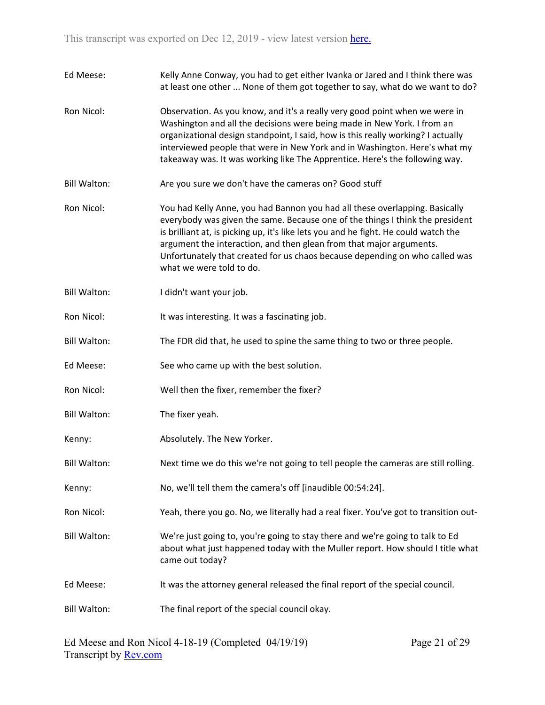| Ed Meese:           | Kelly Anne Conway, you had to get either Ivanka or Jared and I think there was<br>at least one other  None of them got together to say, what do we want to do?                                                                                                                                                                                                                                                                        |
|---------------------|---------------------------------------------------------------------------------------------------------------------------------------------------------------------------------------------------------------------------------------------------------------------------------------------------------------------------------------------------------------------------------------------------------------------------------------|
| Ron Nicol:          | Observation. As you know, and it's a really very good point when we were in<br>Washington and all the decisions were being made in New York. I from an<br>organizational design standpoint, I said, how is this really working? I actually<br>interviewed people that were in New York and in Washington. Here's what my<br>takeaway was. It was working like The Apprentice. Here's the following way.                               |
| <b>Bill Walton:</b> | Are you sure we don't have the cameras on? Good stuff                                                                                                                                                                                                                                                                                                                                                                                 |
| Ron Nicol:          | You had Kelly Anne, you had Bannon you had all these overlapping. Basically<br>everybody was given the same. Because one of the things I think the president<br>is brilliant at, is picking up, it's like lets you and he fight. He could watch the<br>argument the interaction, and then glean from that major arguments.<br>Unfortunately that created for us chaos because depending on who called was<br>what we were told to do. |
| <b>Bill Walton:</b> | I didn't want your job.                                                                                                                                                                                                                                                                                                                                                                                                               |
| Ron Nicol:          | It was interesting. It was a fascinating job.                                                                                                                                                                                                                                                                                                                                                                                         |
| <b>Bill Walton:</b> | The FDR did that, he used to spine the same thing to two or three people.                                                                                                                                                                                                                                                                                                                                                             |
| Ed Meese:           | See who came up with the best solution.                                                                                                                                                                                                                                                                                                                                                                                               |
| Ron Nicol:          | Well then the fixer, remember the fixer?                                                                                                                                                                                                                                                                                                                                                                                              |
| <b>Bill Walton:</b> | The fixer yeah.                                                                                                                                                                                                                                                                                                                                                                                                                       |
| Kenny:              | Absolutely. The New Yorker.                                                                                                                                                                                                                                                                                                                                                                                                           |
| <b>Bill Walton:</b> | Next time we do this we're not going to tell people the cameras are still rolling.                                                                                                                                                                                                                                                                                                                                                    |
| Kenny:              | No, we'll tell them the camera's off [inaudible 00:54:24].                                                                                                                                                                                                                                                                                                                                                                            |
| Ron Nicol:          | Yeah, there you go. No, we literally had a real fixer. You've got to transition out-                                                                                                                                                                                                                                                                                                                                                  |
| <b>Bill Walton:</b> | We're just going to, you're going to stay there and we're going to talk to Ed<br>about what just happened today with the Muller report. How should I title what<br>came out today?                                                                                                                                                                                                                                                    |
| Ed Meese:           | It was the attorney general released the final report of the special council.                                                                                                                                                                                                                                                                                                                                                         |
| <b>Bill Walton:</b> | The final report of the special council okay.                                                                                                                                                                                                                                                                                                                                                                                         |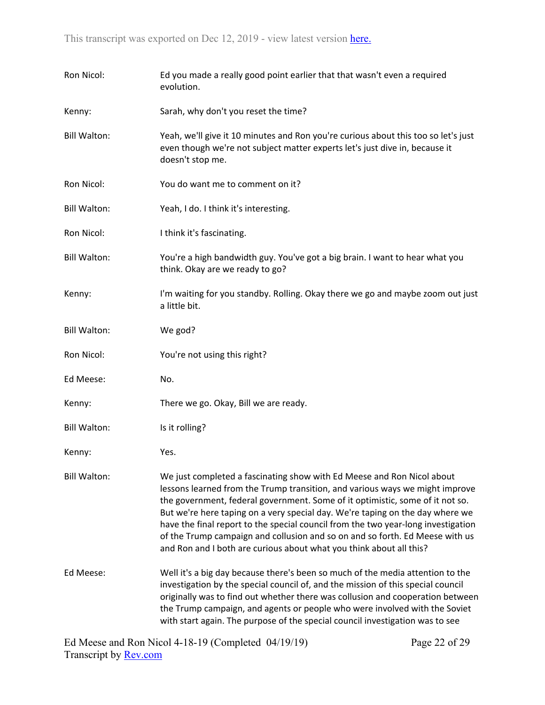| Ron Nicol:          | Ed you made a really good point earlier that that wasn't even a required<br>evolution.                                                                                                                                                                                                                                                                                                                                                                                                                                                                               |
|---------------------|----------------------------------------------------------------------------------------------------------------------------------------------------------------------------------------------------------------------------------------------------------------------------------------------------------------------------------------------------------------------------------------------------------------------------------------------------------------------------------------------------------------------------------------------------------------------|
| Kenny:              | Sarah, why don't you reset the time?                                                                                                                                                                                                                                                                                                                                                                                                                                                                                                                                 |
| <b>Bill Walton:</b> | Yeah, we'll give it 10 minutes and Ron you're curious about this too so let's just<br>even though we're not subject matter experts let's just dive in, because it<br>doesn't stop me.                                                                                                                                                                                                                                                                                                                                                                                |
| Ron Nicol:          | You do want me to comment on it?                                                                                                                                                                                                                                                                                                                                                                                                                                                                                                                                     |
| <b>Bill Walton:</b> | Yeah, I do. I think it's interesting.                                                                                                                                                                                                                                                                                                                                                                                                                                                                                                                                |
| Ron Nicol:          | I think it's fascinating.                                                                                                                                                                                                                                                                                                                                                                                                                                                                                                                                            |
| <b>Bill Walton:</b> | You're a high bandwidth guy. You've got a big brain. I want to hear what you<br>think. Okay are we ready to go?                                                                                                                                                                                                                                                                                                                                                                                                                                                      |
| Kenny:              | I'm waiting for you standby. Rolling. Okay there we go and maybe zoom out just<br>a little bit.                                                                                                                                                                                                                                                                                                                                                                                                                                                                      |
| <b>Bill Walton:</b> | We god?                                                                                                                                                                                                                                                                                                                                                                                                                                                                                                                                                              |
| Ron Nicol:          | You're not using this right?                                                                                                                                                                                                                                                                                                                                                                                                                                                                                                                                         |
| Ed Meese:           | No.                                                                                                                                                                                                                                                                                                                                                                                                                                                                                                                                                                  |
| Kenny:              | There we go. Okay, Bill we are ready.                                                                                                                                                                                                                                                                                                                                                                                                                                                                                                                                |
| <b>Bill Walton:</b> | Is it rolling?                                                                                                                                                                                                                                                                                                                                                                                                                                                                                                                                                       |
| Kenny:              | Yes.                                                                                                                                                                                                                                                                                                                                                                                                                                                                                                                                                                 |
| <b>Bill Walton:</b> | We just completed a fascinating show with Ed Meese and Ron Nicol about<br>lessons learned from the Trump transition, and various ways we might improve<br>the government, federal government. Some of it optimistic, some of it not so.<br>But we're here taping on a very special day. We're taping on the day where we<br>have the final report to the special council from the two year-long investigation<br>of the Trump campaign and collusion and so on and so forth. Ed Meese with us<br>and Ron and I both are curious about what you think about all this? |
| Ed Meese:           | Well it's a big day because there's been so much of the media attention to the<br>investigation by the special council of, and the mission of this special council<br>originally was to find out whether there was collusion and cooperation between<br>the Trump campaign, and agents or people who were involved with the Soviet<br>with start again. The purpose of the special council investigation was to see                                                                                                                                                  |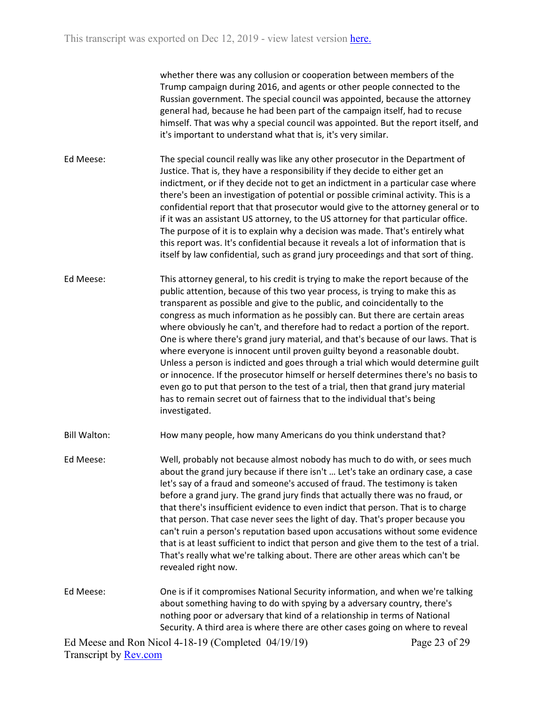whether there was any collusion or cooperation between members of the Trump campaign during 2016, and agents or other people connected to the Russian government. The special council was appointed, because the attorney general had, because he had been part of the campaign itself, had to recuse himself. That was why a special council was appointed. But the report itself, and it's important to understand what that is, it's very similar.

- Ed Meese: The special council really was like any other prosecutor in the Department of Justice. That is, they have a responsibility if they decide to either get an indictment, or if they decide not to get an indictment in a particular case where there's been an investigation of potential or possible criminal activity. This is a confidential report that that prosecutor would give to the attorney general or to if it was an assistant US attorney, to the US attorney for that particular office. The purpose of it is to explain why a decision was made. That's entirely what this report was. It's confidential because it reveals a lot of information that is itself by law confidential, such as grand jury proceedings and that sort of thing.
- Ed Meese: This attorney general, to his credit is trying to make the report because of the public attention, because of this two year process, is trying to make this as transparent as possible and give to the public, and coincidentally to the congress as much information as he possibly can. But there are certain areas where obviously he can't, and therefore had to redact a portion of the report. One is where there's grand jury material, and that's because of our laws. That is where everyone is innocent until proven guilty beyond a reasonable doubt. Unless a person is indicted and goes through a trial which would determine guilt or innocence. If the prosecutor himself or herself determines there's no basis to even go to put that person to the test of a trial, then that grand jury material has to remain secret out of fairness that to the individual that's being investigated.
- Bill Walton: How many people, how many Americans do you think understand that?
- Ed Meese: Well, probably not because almost nobody has much to do with, or sees much about the grand jury because if there isn't … Let's take an ordinary case, a case let's say of a fraud and someone's accused of fraud. The testimony is taken before a grand jury. The grand jury finds that actually there was no fraud, or that there's insufficient evidence to even indict that person. That is to charge that person. That case never sees the light of day. That's proper because you can't ruin a person's reputation based upon accusations without some evidence that is at least sufficient to indict that person and give them to the test of a trial. That's really what we're talking about. There are other areas which can't be revealed right now.
- Ed Meese: One is if it compromises National Security information, and when we're talking about something having to do with spying by a adversary country, there's nothing poor or adversary that kind of a relationship in terms of National Security. A third area is where there are other cases going on where to reveal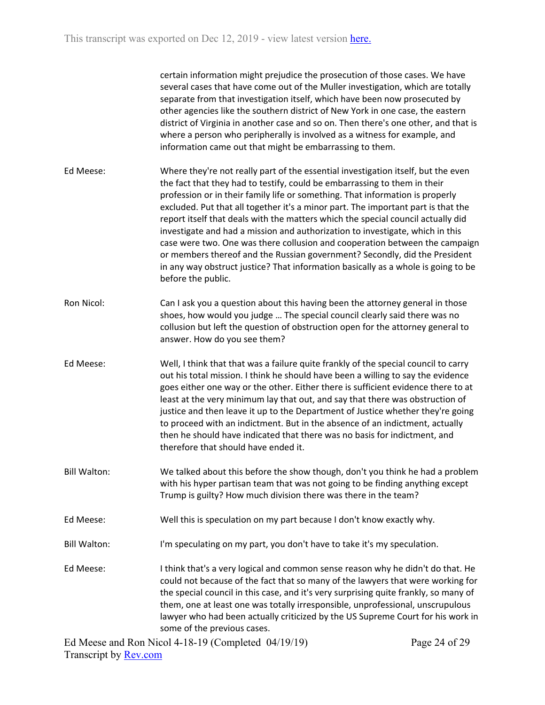|                     | certain information might prejudice the prosecution of those cases. We have<br>several cases that have come out of the Muller investigation, which are totally<br>separate from that investigation itself, which have been now prosecuted by<br>other agencies like the southern district of New York in one case, the eastern<br>district of Virginia in another case and so on. Then there's one other, and that is<br>where a person who peripherally is involved as a witness for example, and<br>information came out that might be embarrassing to them.                                                                                                                                                                                                                    |
|---------------------|-----------------------------------------------------------------------------------------------------------------------------------------------------------------------------------------------------------------------------------------------------------------------------------------------------------------------------------------------------------------------------------------------------------------------------------------------------------------------------------------------------------------------------------------------------------------------------------------------------------------------------------------------------------------------------------------------------------------------------------------------------------------------------------|
| Ed Meese:           | Where they're not really part of the essential investigation itself, but the even<br>the fact that they had to testify, could be embarrassing to them in their<br>profession or in their family life or something. That information is properly<br>excluded. Put that all together it's a minor part. The important part is that the<br>report itself that deals with the matters which the special council actually did<br>investigate and had a mission and authorization to investigate, which in this<br>case were two. One was there collusion and cooperation between the campaign<br>or members thereof and the Russian government? Secondly, did the President<br>in any way obstruct justice? That information basically as a whole is going to be<br>before the public. |
| Ron Nicol:          | Can I ask you a question about this having been the attorney general in those<br>shoes, how would you judge  The special council clearly said there was no<br>collusion but left the question of obstruction open for the attorney general to<br>answer. How do you see them?                                                                                                                                                                                                                                                                                                                                                                                                                                                                                                     |
| Ed Meese:           | Well, I think that that was a failure quite frankly of the special council to carry<br>out his total mission. I think he should have been a willing to say the evidence<br>goes either one way or the other. Either there is sufficient evidence there to at<br>least at the very minimum lay that out, and say that there was obstruction of<br>justice and then leave it up to the Department of Justice whether they're going<br>to proceed with an indictment. But in the absence of an indictment, actually<br>then he should have indicated that there was no basis for indictment, and<br>therefore that should have ended it.                                                                                                                                             |
| Bill Walton:        | We talked about this before the show though, don't you think he had a problem<br>with his hyper partisan team that was not going to be finding anything except<br>Trump is guilty? How much division there was there in the team?                                                                                                                                                                                                                                                                                                                                                                                                                                                                                                                                                 |
| Ed Meese:           | Well this is speculation on my part because I don't know exactly why.                                                                                                                                                                                                                                                                                                                                                                                                                                                                                                                                                                                                                                                                                                             |
| <b>Bill Walton:</b> | I'm speculating on my part, you don't have to take it's my speculation.                                                                                                                                                                                                                                                                                                                                                                                                                                                                                                                                                                                                                                                                                                           |
| Ed Meese:           | I think that's a very logical and common sense reason why he didn't do that. He<br>could not because of the fact that so many of the lawyers that were working for<br>the special council in this case, and it's very surprising quite frankly, so many of<br>them, one at least one was totally irresponsible, unprofessional, unscrupulous<br>lawyer who had been actually criticized by the US Supreme Court for his work in<br>some of the previous cases.                                                                                                                                                                                                                                                                                                                    |
|                     |                                                                                                                                                                                                                                                                                                                                                                                                                                                                                                                                                                                                                                                                                                                                                                                   |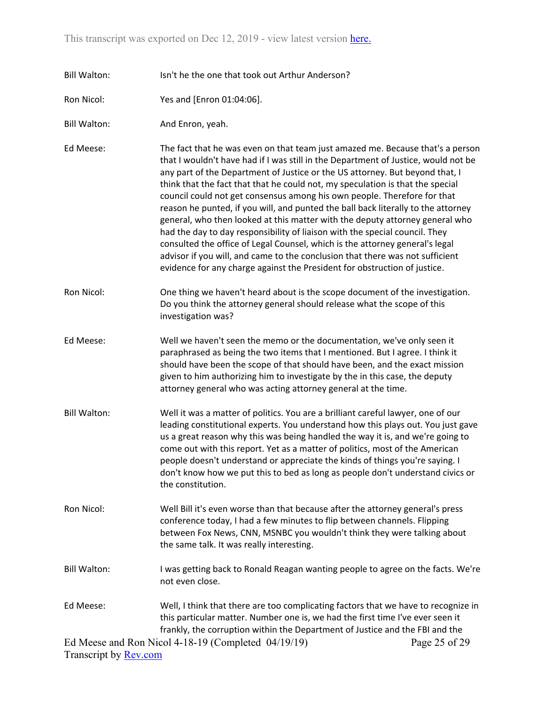- Bill Walton: Isn't he the one that took out Arthur Anderson?
- Ron Nicol: Yes and [Enron 01:04:06].
- Bill Walton: And Enron, yeah.
- Ed Meese: The fact that he was even on that team just amazed me. Because that's a person that I wouldn't have had if I was still in the Department of Justice, would not be any part of the Department of Justice or the US attorney. But beyond that, I think that the fact that that he could not, my speculation is that the special council could not get consensus among his own people. Therefore for that reason he punted, if you will, and punted the ball back literally to the attorney general, who then looked at this matter with the deputy attorney general who had the day to day responsibility of liaison with the special council. They consulted the office of Legal Counsel, which is the attorney general's legal advisor if you will, and came to the conclusion that there was not sufficient evidence for any charge against the President for obstruction of justice.
- Ron Nicol: One thing we haven't heard about is the scope document of the investigation. Do you think the attorney general should release what the scope of this investigation was?
- Ed Meese: Well we haven't seen the memo or the documentation, we've only seen it paraphrased as being the two items that I mentioned. But I agree. I think it should have been the scope of that should have been, and the exact mission given to him authorizing him to investigate by the in this case, the deputy attorney general who was acting attorney general at the time.
- Bill Walton: Well it was a matter of politics. You are a brilliant careful lawyer, one of our leading constitutional experts. You understand how this plays out. You just gave us a great reason why this was being handled the way it is, and we're going to come out with this report. Yet as a matter of politics, most of the American people doesn't understand or appreciate the kinds of things you're saying. I don't know how we put this to bed as long as people don't understand civics or the constitution.
- Ron Nicol: Well Bill it's even worse than that because after the attorney general's press conference today, I had a few minutes to flip between channels. Flipping between Fox News, CNN, MSNBC you wouldn't think they were talking about the same talk. It was really interesting.
- Bill Walton: I was getting back to Ronald Reagan wanting people to agree on the facts. We're not even close.
- Ed Meese: Well, I think that there are too complicating factors that we have to recognize in this particular matter. Number one is, we had the first time I've ever seen it frankly, the corruption within the Department of Justice and the FBI and the

Ed Meese and Ron Nicol 4-18-19 (Completed 04/19/19) Transcript by [Rev.com](https://www.rev.com/) Page 25 of 29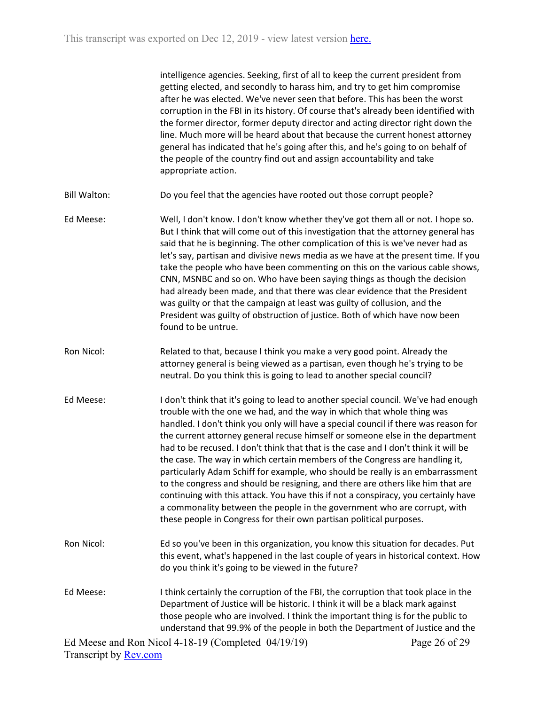intelligence agencies. Seeking, first of all to keep the current president from getting elected, and secondly to harass him, and try to get him compromise after he was elected. We've never seen that before. This has been the worst corruption in the FBI in its history. Of course that's already been identified with the former director, former deputy director and acting director right down the line. Much more will be heard about that because the current honest attorney general has indicated that he's going after this, and he's going to on behalf of the people of the country find out and assign accountability and take appropriate action.

- Bill Walton: Do you feel that the agencies have rooted out those corrupt people?
- Ed Meese: Well, I don't know. I don't know whether they've got them all or not. I hope so. But I think that will come out of this investigation that the attorney general has said that he is beginning. The other complication of this is we've never had as let's say, partisan and divisive news media as we have at the present time. If you take the people who have been commenting on this on the various cable shows, CNN, MSNBC and so on. Who have been saying things as though the decision had already been made, and that there was clear evidence that the President was guilty or that the campaign at least was guilty of collusion, and the President was guilty of obstruction of justice. Both of which have now been found to be untrue.
- Ron Nicol: Related to that, because I think you make a very good point. Already the attorney general is being viewed as a partisan, even though he's trying to be neutral. Do you think this is going to lead to another special council?
- Ed Meese: I don't think that it's going to lead to another special council. We've had enough trouble with the one we had, and the way in which that whole thing was handled. I don't think you only will have a special council if there was reason for the current attorney general recuse himself or someone else in the department had to be recused. I don't think that that is the case and I don't think it will be the case. The way in which certain members of the Congress are handling it, particularly Adam Schiff for example, who should be really is an embarrassment to the congress and should be resigning, and there are others like him that are continuing with this attack. You have this if not a conspiracy, you certainly have a commonality between the people in the government who are corrupt, with these people in Congress for their own partisan political purposes.
- Ron Nicol: Ed so you've been in this organization, you know this situation for decades. Put this event, what's happened in the last couple of years in historical context. How do you think it's going to be viewed in the future?
- Ed Meese: I think certainly the corruption of the FBI, the corruption that took place in the Department of Justice will be historic. I think it will be a black mark against those people who are involved. I think the important thing is for the public to understand that 99.9% of the people in both the Department of Justice and the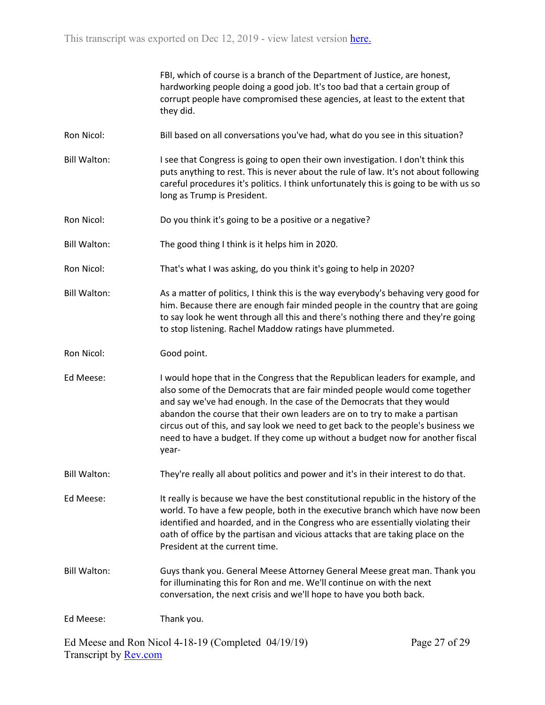FBI, which of course is a branch of the Department of Justice, are honest, hardworking people doing a good job. It's too bad that a certain group of corrupt people have compromised these agencies, at least to the extent that they did.

- Ron Nicol: Bill based on all conversations you've had, what do you see in this situation?
- Bill Walton: I see that Congress is going to open their own investigation. I don't think this puts anything to rest. This is never about the rule of law. It's not about following careful procedures it's politics. I think unfortunately this is going to be with us so long as Trump is President.
- Ron Nicol: Do you think it's going to be a positive or a negative?
- Bill Walton: The good thing I think is it helps him in 2020.
- Ron Nicol: That's what I was asking, do you think it's going to help in 2020?
- Bill Walton: As a matter of politics, I think this is the way everybody's behaving very good for him. Because there are enough fair minded people in the country that are going to say look he went through all this and there's nothing there and they're going to stop listening. Rachel Maddow ratings have plummeted.
- Ron Nicol: Good point.
- Ed Meese: I would hope that in the Congress that the Republican leaders for example, and also some of the Democrats that are fair minded people would come together and say we've had enough. In the case of the Democrats that they would abandon the course that their own leaders are on to try to make a partisan circus out of this, and say look we need to get back to the people's business we need to have a budget. If they come up without a budget now for another fiscal year-
- Bill Walton: They're really all about politics and power and it's in their interest to do that.

Ed Meese: It really is because we have the best constitutional republic in the history of the world. To have a few people, both in the executive branch which have now been identified and hoarded, and in the Congress who are essentially violating their oath of office by the partisan and vicious attacks that are taking place on the President at the current time.

Bill Walton: Guys thank you. General Meese Attorney General Meese great man. Thank you for illuminating this for Ron and me. We'll continue on with the next conversation, the next crisis and we'll hope to have you both back.

Ed Meese: Thank you.

Ed Meese and Ron Nicol 4-18-19 (Completed 04/19/19) Transcript by [Rev.com](https://www.rev.com/)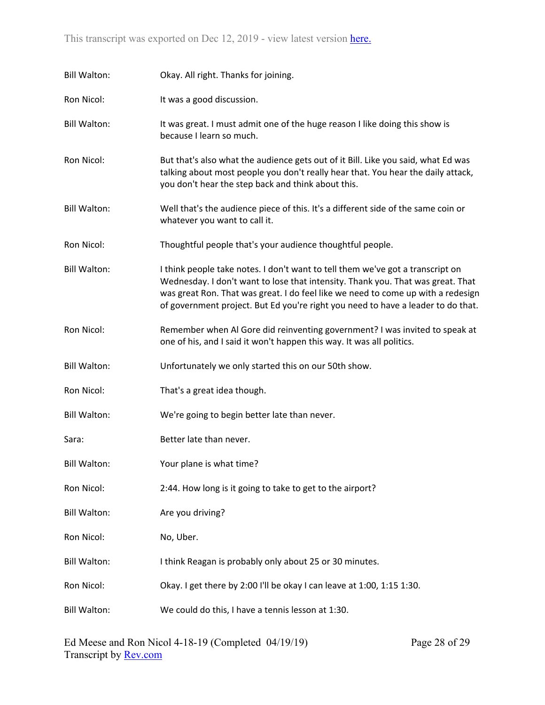| <b>Bill Walton:</b> | Okay. All right. Thanks for joining.                                                                                                                                                                                                                                                                                                      |
|---------------------|-------------------------------------------------------------------------------------------------------------------------------------------------------------------------------------------------------------------------------------------------------------------------------------------------------------------------------------------|
| Ron Nicol:          | It was a good discussion.                                                                                                                                                                                                                                                                                                                 |
| <b>Bill Walton:</b> | It was great. I must admit one of the huge reason I like doing this show is<br>because I learn so much.                                                                                                                                                                                                                                   |
| Ron Nicol:          | But that's also what the audience gets out of it Bill. Like you said, what Ed was<br>talking about most people you don't really hear that. You hear the daily attack,<br>you don't hear the step back and think about this.                                                                                                               |
| <b>Bill Walton:</b> | Well that's the audience piece of this. It's a different side of the same coin or<br>whatever you want to call it.                                                                                                                                                                                                                        |
| Ron Nicol:          | Thoughtful people that's your audience thoughtful people.                                                                                                                                                                                                                                                                                 |
| <b>Bill Walton:</b> | I think people take notes. I don't want to tell them we've got a transcript on<br>Wednesday. I don't want to lose that intensity. Thank you. That was great. That<br>was great Ron. That was great. I do feel like we need to come up with a redesign<br>of government project. But Ed you're right you need to have a leader to do that. |
| Ron Nicol:          | Remember when Al Gore did reinventing government? I was invited to speak at<br>one of his, and I said it won't happen this way. It was all politics.                                                                                                                                                                                      |
| <b>Bill Walton:</b> | Unfortunately we only started this on our 50th show.                                                                                                                                                                                                                                                                                      |
| Ron Nicol:          | That's a great idea though.                                                                                                                                                                                                                                                                                                               |
| <b>Bill Walton:</b> | We're going to begin better late than never.                                                                                                                                                                                                                                                                                              |
| Sara:               | Better late than never.                                                                                                                                                                                                                                                                                                                   |
| <b>Bill Walton:</b> | Your plane is what time?                                                                                                                                                                                                                                                                                                                  |
| Ron Nicol:          | 2:44. How long is it going to take to get to the airport?                                                                                                                                                                                                                                                                                 |
| <b>Bill Walton:</b> | Are you driving?                                                                                                                                                                                                                                                                                                                          |
| Ron Nicol:          | No, Uber.                                                                                                                                                                                                                                                                                                                                 |
| <b>Bill Walton:</b> | I think Reagan is probably only about 25 or 30 minutes.                                                                                                                                                                                                                                                                                   |
| Ron Nicol:          | Okay. I get there by 2:00 I'll be okay I can leave at 1:00, 1:15 1:30.                                                                                                                                                                                                                                                                    |
| <b>Bill Walton:</b> | We could do this, I have a tennis lesson at 1:30.                                                                                                                                                                                                                                                                                         |